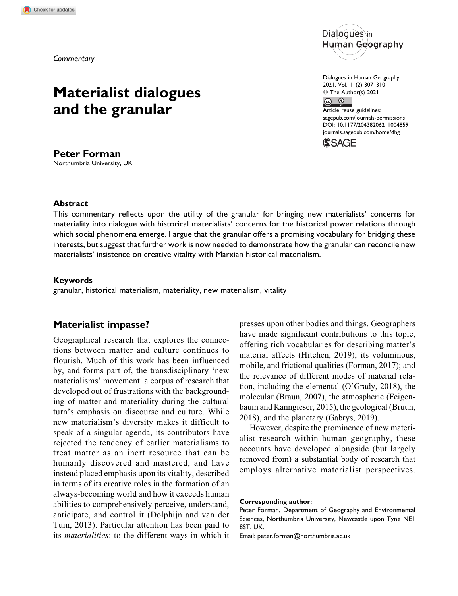*Commentary*

# **Materialist dialogues and the granular**

**Peter Forman** Northumbria University, UK



Dialogues in Human Geography 2021, Vol. 11(2) 307–310 © The Author(s) 2021  $\odot$  $\odot$ 

Article reuse guidelines: [sagepub.com/journals-permissions](https://sagepub.com/journals-permissions) [DOI: 10.1177/20438206211004859](https://doi.org/10.1177/20438206211004859) [journals.sagepub.com/home/dhg](http://journals.sagepub.com/home/dhg)



## **Abstract**

This commentary reflects upon the utility of the granular for bringing new materialists' concerns for materiality into dialogue with historical materialists' concerns for the historical power relations through which social phenomena emerge. I argue that the granular offers a promising vocabulary for bridging these interests, but suggest that further work is now needed to demonstrate how the granular can reconcile new materialists' insistence on creative vitality with Marxian historical materialism.

### **Keywords**

granular, historical materialism, materiality, new materialism, vitality

# **Materialist impasse?**

Geographical research that explores the connections between matter and culture continues to flourish. Much of this work has been influenced by, and forms part of, the transdisciplinary 'new materialisms' movement: a corpus of research that developed out of frustrations with the backgrounding of matter and materiality during the cultural turn's emphasis on discourse and culture. While new materialism's diversity makes it difficult to speak of a singular agenda, its contributors have rejected the tendency of earlier materialisms to treat matter as an inert resource that can be humanly discovered and mastered, and have instead placed emphasis upon its vitality, described in terms of its creative roles in the formation of an always-becoming world and how it exceeds human abilities to comprehensively perceive, understand, anticipate, and control it (Dolphijn and van der Tuin, 2013). Particular attention has been paid to its materialities: to the different ways in which it presses upon other bodies and things. Geographers have made significant contributions to this topic, offering rich vocabularies for describing matter's material affects (Hitchen, 2019); its voluminous, mobile, and frictional qualities (Forman, 2017); and the relevance of different modes of material relation, including the elemental (O'Grady, 2018), the molecular (Braun, 2007), the atmospheric (Feigenbaum and Kanngieser, 2015), the geological (Bruun, 2018), and the planetary (Gabrys, 2019).

However, despite the prominence of new materialist research within human geography, these accounts have developed alongside (but largely removed from) a substantial body of research that employs alternative materialist perspectives.

**Corresponding author:**

Peter Forman, Department of Geography and Environmental Sciences, Northumbria University, Newcastle upon Tyne NE1 8ST, UK.

Email: [peter.forman@northumbria.ac.uk](mailto:peter.forman@northumbria.ac.uk)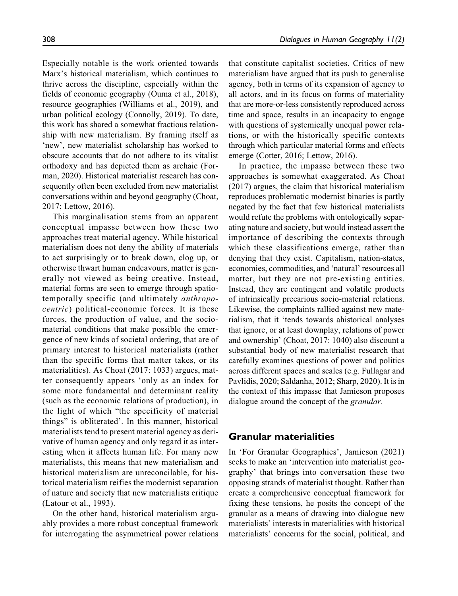Especially notable is the work oriented towards Marx's historical materialism, which continues to thrive across the discipline, especially within the fields of economic geography (Ouma et al., 2018), resource geographies (Williams et al., 2019), and urban political ecology (Connolly, 2019). To date, this work has shared a somewhat fractious relationship with new materialism. By framing itself as 'new', new materialist scholarship has worked to obscure accounts that do not adhere to its vitalist orthodoxy and has depicted them as archaic (Forman, 2020). Historical materialist research has consequently often been excluded from new materialist conversations within and beyond geography (Choat, 2017; Lettow, 2016).

This marginalisation stems from an apparent conceptual impasse between how these two approaches treat material agency. While historical materialism does not deny the ability of materials to act surprisingly or to break down, clog up, or otherwise thwart human endeavours, matter is generally not viewed as being creative. Instead, material forms are seen to emerge through spatiotemporally specific (and ultimately anthropocentric) political-economic forces. It is these forces, the production of value, and the sociomaterial conditions that make possible the emergence of new kinds of societal ordering, that are of primary interest to historical materialists (rather than the specific forms that matter takes, or its materialities). As Choat (2017: 1033) argues, matter consequently appears 'only as an index for some more fundamental and determinant reality (such as the economic relations of production), in the light of which "the specificity of material things" is obliterated'. In this manner, historical materialists tend to present material agency as derivative of human agency and only regard it as interesting when it affects human life. For many new materialists, this means that new materialism and historical materialism are unreconcilable, for historical materialism reifies the modernist separation of nature and society that new materialists critique (Latour et al., 1993).

On the other hand, historical materialism arguably provides a more robust conceptual framework for interrogating the asymmetrical power relations that constitute capitalist societies. Critics of new materialism have argued that its push to generalise agency, both in terms of its expansion of agency to all actors, and in its focus on forms of materiality that are more-or-less consistently reproduced across time and space, results in an incapacity to engage with questions of systemically unequal power relations, or with the historically specific contexts through which particular material forms and effects emerge (Cotter, 2016; Lettow, 2016).

In practice, the impasse between these two approaches is somewhat exaggerated. As Choat (2017) argues, the claim that historical materialism reproduces problematic modernist binaries is partly negated by the fact that few historical materialists would refute the problems with ontologically separating nature and society, but would instead assert the importance of describing the contexts through which these classifications emerge, rather than denying that they exist. Capitalism, nation-states, economies, commodities, and 'natural' resources all matter, but they are not pre-existing entities. Instead, they are contingent and volatile products of intrinsically precarious socio-material relations. Likewise, the complaints rallied against new materialism, that it 'tends towards ahistorical analyses that ignore, or at least downplay, relations of power and ownership' (Choat, 2017: 1040) also discount a substantial body of new materialist research that carefully examines questions of power and politics across different spaces and scales (e.g. Fullagar and Pavlidis, 2020; Saldanha, 2012; Sharp, 2020). It is in the context of this impasse that Jamieson proposes dialogue around the concept of the granular.

## **Granular materialities**

In 'For Granular Geographies', Jamieson (2021) seeks to make an 'intervention into materialist geography' that brings into conversation these two opposing strands of materialist thought. Rather than create a comprehensive conceptual framework for fixing these tensions, he posits the concept of the granular as a means of drawing into dialogue new materialists' interests in materialities with historical materialists' concerns for the social, political, and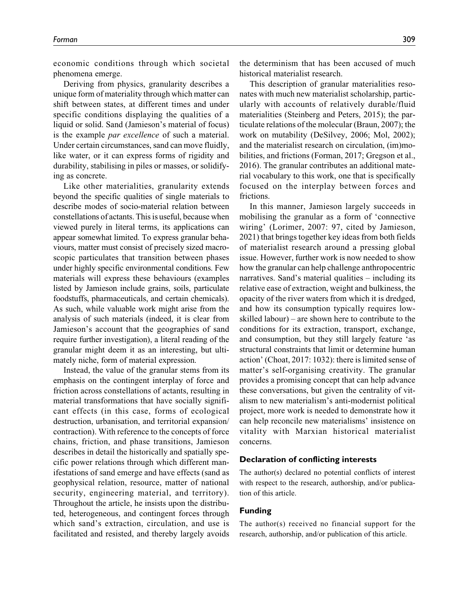economic conditions through which societal phenomena emerge.

Deriving from physics, granularity describes a unique form of materiality through which matter can shift between states, at different times and under specific conditions displaying the qualities of a liquid or solid. Sand (Jamieson's material of focus) is the example par excellence of such a material. Under certain circumstances, sand can move fluidly, like water, or it can express forms of rigidity and durability, stabilising in piles or masses, or solidifying as concrete.

Like other materialities, granularity extends beyond the specific qualities of single materials to describe modes of socio-material relation between constellations of actants. This is useful, because when viewed purely in literal terms, its applications can appear somewhat limited. To express granular behaviours, matter must consist of precisely sized macroscopic particulates that transition between phases under highly specific environmental conditions. Few materials will express these behaviours (examples listed by Jamieson include grains, soils, particulate foodstuffs, pharmaceuticals, and certain chemicals). As such, while valuable work might arise from the analysis of such materials (indeed, it is clear from Jamieson's account that the geographies of sand require further investigation), a literal reading of the granular might deem it as an interesting, but ultimately niche, form of material expression.

Instead, the value of the granular stems from its emphasis on the contingent interplay of force and friction across constellations of actants, resulting in material transformations that have socially significant effects (in this case, forms of ecological destruction, urbanisation, and territorial expansion/ contraction). With reference to the concepts of force chains, friction, and phase transitions, Jamieson describes in detail the historically and spatially specific power relations through which different manifestations of sand emerge and have effects (sand as geophysical relation, resource, matter of national security, engineering material, and territory). Throughout the article, he insists upon the distributed, heterogeneous, and contingent forces through which sand's extraction, circulation, and use is facilitated and resisted, and thereby largely avoids the determinism that has been accused of much historical materialist research.

This description of granular materialities resonates with much new materialist scholarship, particularly with accounts of relatively durable/fluid materialities (Steinberg and Peters, 2015); the particulate relations of the molecular (Braun, 2007); the work on mutability (DeSilvey, 2006; Mol, 2002); and the materialist research on circulation, (im)mobilities, and frictions (Forman, 2017; Gregson et al., 2016). The granular contributes an additional material vocabulary to this work, one that is specifically focused on the interplay between forces and frictions.

In this manner, Jamieson largely succeeds in mobilising the granular as a form of 'connective wiring' (Lorimer, 2007: 97, cited by Jamieson, 2021) that brings together key ideas from both fields of materialist research around a pressing global issue. However, further work is now needed to show how the granular can help challenge anthropocentric narratives. Sand's material qualities – including its relative ease of extraction, weight and bulkiness, the opacity of the river waters from which it is dredged, and how its consumption typically requires lowskilled labour) – are shown here to contribute to the conditions for its extraction, transport, exchange, and consumption, but they still largely feature 'as structural constraints that limit or determine human action' (Choat, 2017: 1032): there is limited sense of matter's self-organising creativity. The granular provides a promising concept that can help advance these conversations, but given the centrality of vitalism to new materialism's anti-modernist political project, more work is needed to demonstrate how it can help reconcile new materialisms' insistence on vitality with Marxian historical materialist concerns.

#### **Declaration of conflicting interests**

The author(s) declared no potential conflicts of interest with respect to the research, authorship, and/or publication of this article.

## **Funding**

The author(s) received no financial support for the research, authorship, and/or publication of this article.